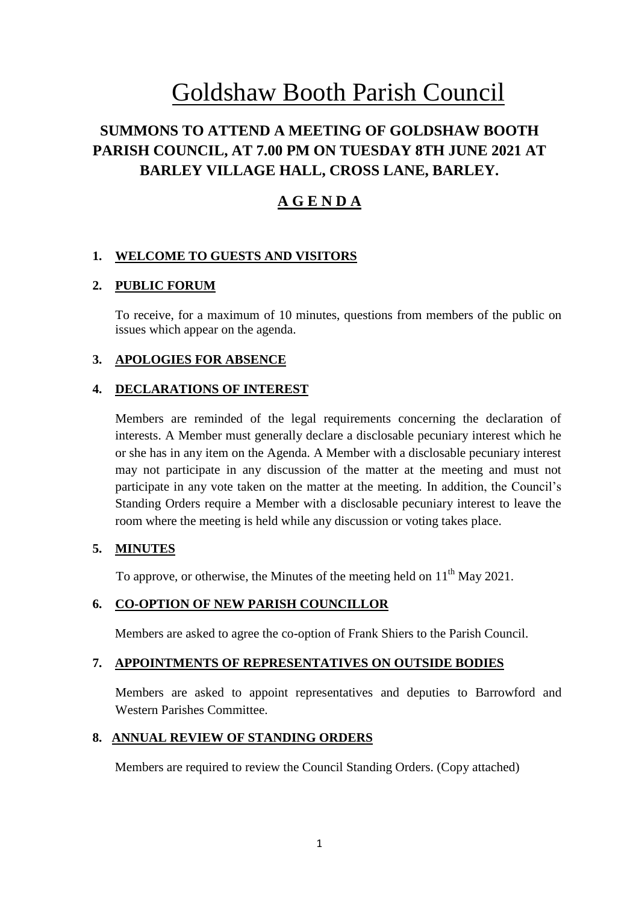# Goldshaw Booth Parish Council

# **SUMMONS TO ATTEND A MEETING OF GOLDSHAW BOOTH PARISH COUNCIL, AT 7.00 PM ON TUESDAY 8TH JUNE 2021 AT BARLEY VILLAGE HALL, CROSS LANE, BARLEY.**

## **A G E N D A**

## **1. WELCOME TO GUESTS AND VISITORS**

## **2. PUBLIC FORUM**

To receive, for a maximum of 10 minutes, questions from members of the public on issues which appear on the agenda.

## **3. APOLOGIES FOR ABSENCE**

### **4. DECLARATIONS OF INTEREST**

Members are reminded of the legal requirements concerning the declaration of interests. A Member must generally declare a disclosable pecuniary interest which he or she has in any item on the Agenda. A Member with a disclosable pecuniary interest may not participate in any discussion of the matter at the meeting and must not participate in any vote taken on the matter at the meeting. In addition, the Council's Standing Orders require a Member with a disclosable pecuniary interest to leave the room where the meeting is held while any discussion or voting takes place.

## **5. MINUTES**

To approve, or otherwise, the Minutes of the meeting held on  $11<sup>th</sup>$  May 2021.

## **6. CO-OPTION OF NEW PARISH COUNCILLOR**

Members are asked to agree the co-option of Frank Shiers to the Parish Council.

### **7. APPOINTMENTS OF REPRESENTATIVES ON OUTSIDE BODIES**

Members are asked to appoint representatives and deputies to Barrowford and Western Parishes Committee.

#### **8. ANNUAL REVIEW OF STANDING ORDERS**

Members are required to review the Council Standing Orders. (Copy attached)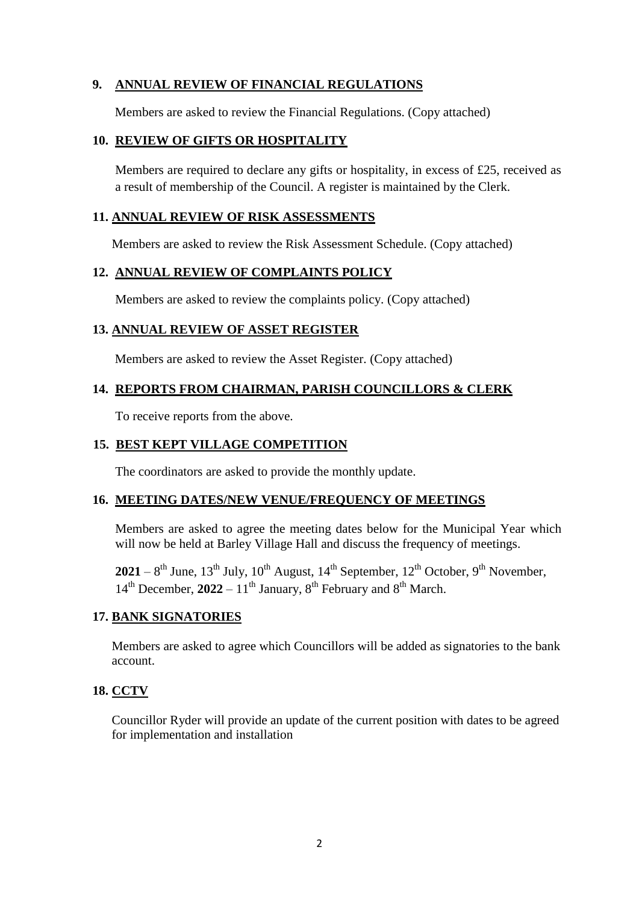## **9. ANNUAL REVIEW OF FINANCIAL REGULATIONS**

Members are asked to review the Financial Regulations. (Copy attached)

## **10. REVIEW OF GIFTS OR HOSPITALITY**

Members are required to declare any gifts or hospitality, in excess of £25, received as a result of membership of the Council. A register is maintained by the Clerk.

### **11. ANNUAL REVIEW OF RISK ASSESSMENTS**

Members are asked to review the Risk Assessment Schedule. (Copy attached)

## **12. ANNUAL REVIEW OF COMPLAINTS POLICY**

Members are asked to review the complaints policy. (Copy attached)

## **13. ANNUAL REVIEW OF ASSET REGISTER**

Members are asked to review the Asset Register. (Copy attached)

## **14. REPORTS FROM CHAIRMAN, PARISH COUNCILLORS & CLERK**

To receive reports from the above.

## **15. BEST KEPT VILLAGE COMPETITION**

The coordinators are asked to provide the monthly update.

## **16. MEETING DATES/NEW VENUE/FREQUENCY OF MEETINGS**

Members are asked to agree the meeting dates below for the Municipal Year which will now be held at Barley Village Hall and discuss the frequency of meetings.

 $2021 - 8$ <sup>th</sup> June, 13<sup>th</sup> July, 10<sup>th</sup> August, 14<sup>th</sup> September, 12<sup>th</sup> October, 9<sup>th</sup> November,  $14<sup>th</sup>$  December,  $2022 - 11<sup>th</sup>$  January,  $8<sup>th</sup>$  February and  $8<sup>th</sup>$  March.

## **17. BANK SIGNATORIES**

Members are asked to agree which Councillors will be added as signatories to the bank account.

## **18. CCTV**

Councillor Ryder will provide an update of the current position with dates to be agreed for implementation and installation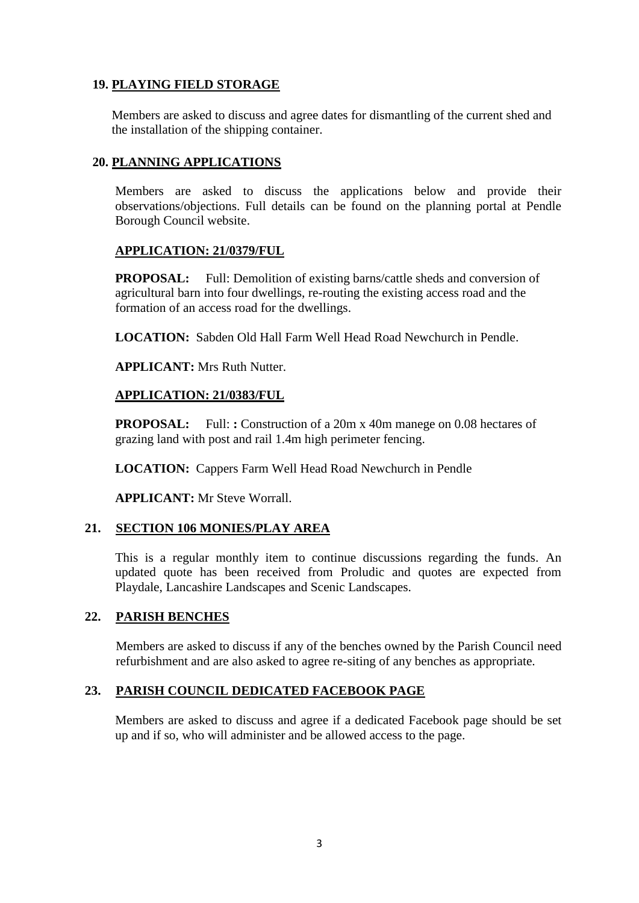## **19. PLAYING FIELD STORAGE**

Members are asked to discuss and agree dates for dismantling of the current shed and the installation of the shipping container.

## **20. PLANNING APPLICATIONS**

Members are asked to discuss the applications below and provide their observations/objections. Full details can be found on the planning portal at Pendle Borough Council website.

## **APPLICATION: 21/0379/FUL**

**PROPOSAL:** Full: Demolition of existing barns/cattle sheds and conversion of agricultural barn into four dwellings, re-routing the existing access road and the formation of an access road for the dwellings.

**LOCATION:** Sabden Old Hall Farm Well Head Road Newchurch in Pendle.

**APPLICANT:** Mrs Ruth Nutter.

### **APPLICATION: 21/0383/FUL**

**PROPOSAL:** Full: **:** Construction of a 20m x 40m manege on 0.08 hectares of grazing land with post and rail 1.4m high perimeter fencing.

**LOCATION:** Cappers Farm Well Head Road Newchurch in Pendle

**APPLICANT:** Mr Steve Worrall.

## **21. SECTION 106 MONIES/PLAY AREA**

This is a regular monthly item to continue discussions regarding the funds. An updated quote has been received from Proludic and quotes are expected from Playdale, Lancashire Landscapes and Scenic Landscapes.

## **22. PARISH BENCHES**

Members are asked to discuss if any of the benches owned by the Parish Council need refurbishment and are also asked to agree re-siting of any benches as appropriate.

## **23. PARISH COUNCIL DEDICATED FACEBOOK PAGE**

Members are asked to discuss and agree if a dedicated Facebook page should be set up and if so, who will administer and be allowed access to the page.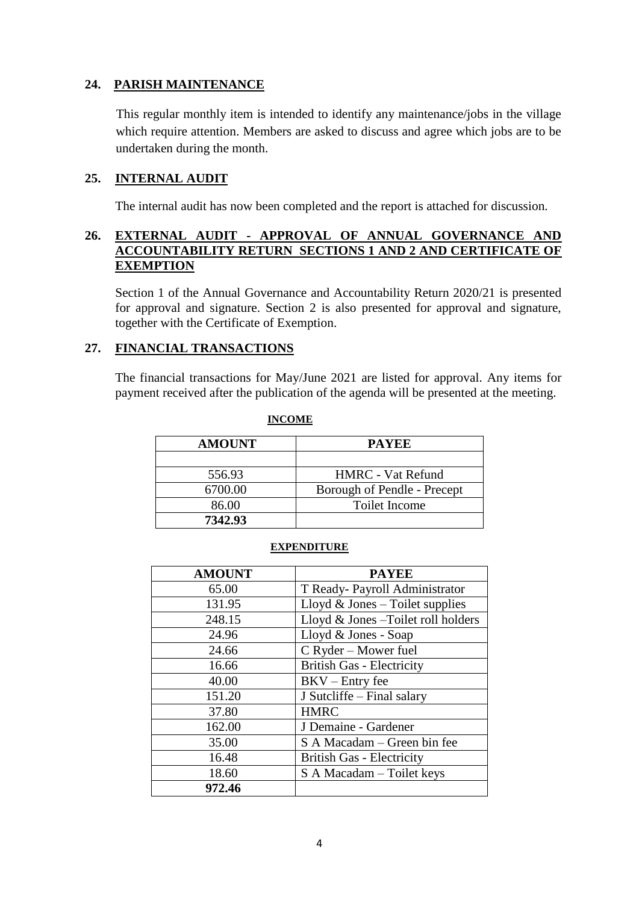## **24. PARISH MAINTENANCE**

This regular monthly item is intended to identify any maintenance/jobs in the village which require attention. Members are asked to discuss and agree which jobs are to be undertaken during the month.

## **25. INTERNAL AUDIT**

The internal audit has now been completed and the report is attached for discussion.

## **26. EXTERNAL AUDIT - APPROVAL OF ANNUAL GOVERNANCE AND ACCOUNTABILITY RETURN SECTIONS 1 AND 2 AND CERTIFICATE OF EXEMPTION**

Section 1 of the Annual Governance and Accountability Return 2020/21 is presented for approval and signature. Section 2 is also presented for approval and signature, together with the Certificate of Exemption.

## **27. FINANCIAL TRANSACTIONS**

The financial transactions for May/June 2021 are listed for approval. Any items for payment received after the publication of the agenda will be presented at the meeting.

| <b>AMOUNT</b> | <b>PAYEE</b>                |
|---------------|-----------------------------|
| 556.93        | <b>HMRC</b> - Vat Refund    |
| 6700.00       | Borough of Pendle - Precept |
| 86.00         | Toilet Income               |
| 7342.93       |                             |

#### **INCOME**

#### **EXPENDITURE**

| <b>AMOUNT</b> | <b>PAYEE</b>                        |
|---------------|-------------------------------------|
| 65.00         | T Ready-Payroll Administrator       |
| 131.95        | Lloyd $&$ Jones – Toilet supplies   |
| 248.15        | Lloyd & Jones - Toilet roll holders |
| 24.96         | Lloyd & Jones - Soap                |
| 24.66         | C Ryder – Mower fuel                |
| 16.66         | <b>British Gas - Electricity</b>    |
| 40.00         | $BKV - Entry$ fee                   |
| 151.20        | J Sutcliffe - Final salary          |
| 37.80         | <b>HMRC</b>                         |
| 162.00        | J Demaine - Gardener                |
| 35.00         | S A Macadam – Green bin fee         |
| 16.48         | <b>British Gas - Electricity</b>    |
| 18.60         | S A Macadam – Toilet keys           |
| 972.46        |                                     |